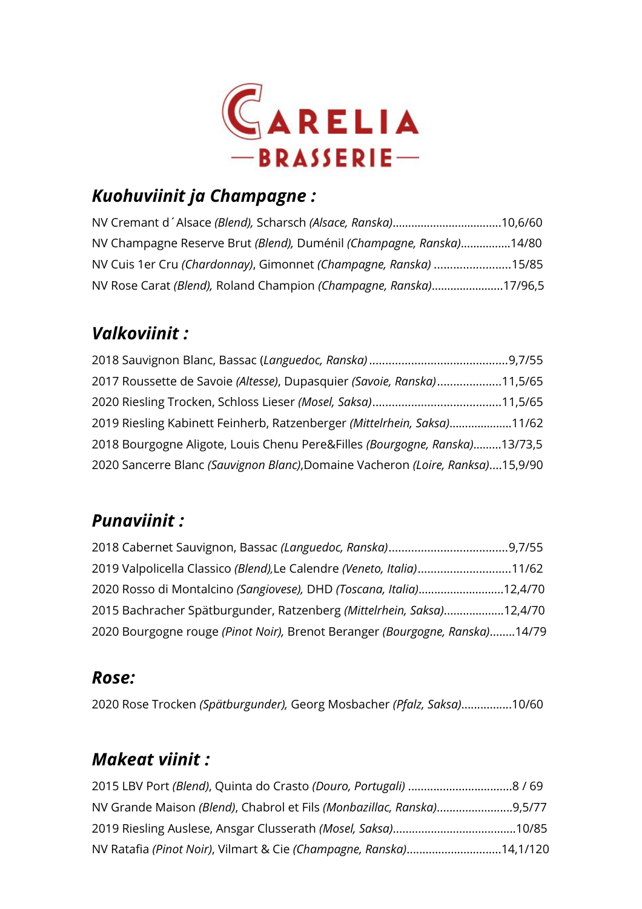

## *Kuohuviinit ja Champagne :*

| NV Cremant d'Alsace (Blend), Scharsch (Alsace, Ranska)10,6/60       |  |
|---------------------------------------------------------------------|--|
| NV Champagne Reserve Brut (Blend), Duménil (Champagne, Ranska)14/80 |  |
| NV Cuis 1er Cru (Chardonnay), Gimonnet (Champagne, Ranska) 15/85    |  |
| NV Rose Carat (Blend), Roland Champion (Champagne, Ranska)17/96,5   |  |

## *Valkoviinit :*

| 2017 Roussette de Savoie (Altesse), Dupasquier (Savoie, Ranska)11,5/65         |  |
|--------------------------------------------------------------------------------|--|
|                                                                                |  |
| 2019 Riesling Kabinett Feinherb, Ratzenberger (Mittelrhein, Saksa)11/62        |  |
| 2018 Bourgogne Aligote, Louis Chenu Pere&Filles (Bourgogne, Ranska)13/73,5     |  |
| 2020 Sancerre Blanc (Sauvignon Blanc), Domaine Vacheron (Loire, Ranksa)15,9/90 |  |

### *Punaviinit :*

| 2019 Valpolicella Classico (Blend), Le Calendre (Veneto, Italia)11/62       |  |
|-----------------------------------------------------------------------------|--|
| 2020 Rosso di Montalcino (Sangiovese), DHD (Toscana, Italia)12,4/70         |  |
| 2015 Bachracher Spätburgunder, Ratzenberg (Mittelrhein, Saksa)12,4/70       |  |
| 2020 Bourgogne rouge (Pinot Noir), Brenot Beranger (Bourgogne, Ranska)14/79 |  |

### *Rose:*

2020 Rose Trocken *(Spätburgunder),* Georg Mosbacher *(Pfalz, Saksa)*................10/60

## *Makeat viinit :*

| NV Ratafia (Pinot Noir), Vilmart & Cie (Champagne, Ranska)14,1/120 |  |
|--------------------------------------------------------------------|--|